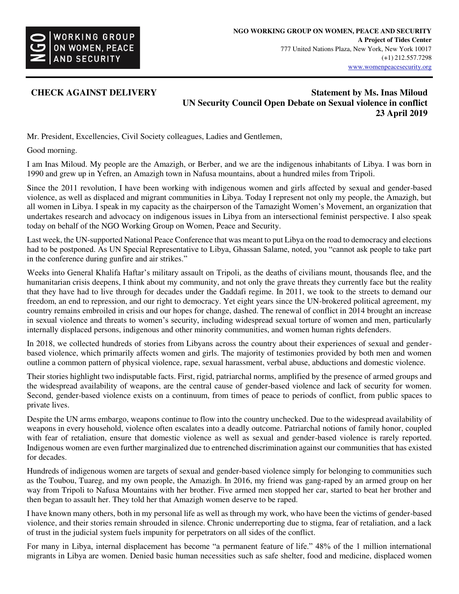

## **CHECK AGAINST DELIVERY** Statement by Ms. Inas Miloud **Statement by Ms.** Inas Miloud **UN Security Council Open Debate on Sexual violence in conflict 23 April 2019**

Mr. President, Excellencies, Civil Society colleagues, Ladies and Gentlemen,

Good morning.

I am Inas Miloud. My people are the Amazigh, or Berber, and we are the indigenous inhabitants of Libya. I was born in 1990 and grew up in Yefren, an Amazigh town in Nafusa mountains, about a hundred miles from Tripoli.

Since the 2011 revolution, I have been working with indigenous women and girls affected by sexual and gender-based violence, as well as displaced and migrant communities in Libya. Today I represent not only my people, the Amazigh, but all women in Libya. I speak in my capacity as the chairperson of the Tamazight Women's Movement, an organization that undertakes research and advocacy on indigenous issues in Libya from an intersectional feminist perspective. I also speak today on behalf of the NGO Working Group on Women, Peace and Security.

Last week, the UN-supported National Peace Conference that was meant to put Libya on the road to democracy and elections had to be postponed. As UN Special Representative to Libya, Ghassan Salame, noted, you "cannot ask people to take part in the conference during gunfire and air strikes."

Weeks into General Khalifa Haftar's military assault on Tripoli, as the deaths of civilians mount, thousands flee, and the humanitarian crisis deepens, I think about my community, and not only the grave threats they currently face but the reality that they have had to live through for decades under the Gaddafi regime. In 2011, we took to the streets to demand our freedom, an end to repression, and our right to democracy. Yet eight years since the UN-brokered political agreement, my country remains embroiled in crisis and our hopes for change, dashed. The renewal of conflict in 2014 brought an increase in sexual violence and threats to women's security, including widespread sexual torture of women and men, particularly internally displaced persons, indigenous and other minority communities, and women human rights defenders.

In 2018, we collected hundreds of stories from Libyans across the country about their experiences of sexual and genderbased violence, which primarily affects women and girls. The majority of testimonies provided by both men and women outline a common pattern of physical violence, rape, sexual harassment, verbal abuse, abductions and domestic violence.

Their stories highlight two indisputable facts. First, rigid, patriarchal norms, amplified by the presence of armed groups and the widespread availability of weapons, are the central cause of gender-based violence and lack of security for women. Second, gender-based violence exists on a continuum, from times of peace to periods of conflict, from public spaces to private lives.

Despite the UN arms embargo, weapons continue to flow into the country unchecked. Due to the widespread availability of weapons in every household, violence often escalates into a deadly outcome. Patriarchal notions of family honor, coupled with fear of retaliation, ensure that domestic violence as well as sexual and gender-based violence is rarely reported. Indigenous women are even further marginalized due to entrenched discrimination against our communities that has existed for decades.

Hundreds of indigenous women are targets of sexual and gender-based violence simply for belonging to communities such as the Toubou, Tuareg, and my own people, the Amazigh. In 2016, my friend was gang-raped by an armed group on her way from Tripoli to Nafusa Mountains with her brother. Five armed men stopped her car, started to beat her brother and then began to assault her. They told her that Amazigh women deserve to be raped.

I have known many others, both in my personal life as well as through my work, who have been the victims of gender-based violence, and their stories remain shrouded in silence. Chronic underreporting due to stigma, fear of retaliation, and a lack of trust in the judicial system fuels impunity for perpetrators on all sides of the conflict.

For many in Libya, internal displacement has become "a permanent feature of life." 48% of the 1 million international migrants in Libya are women. Denied basic human necessities such as safe shelter, food and medicine, displaced women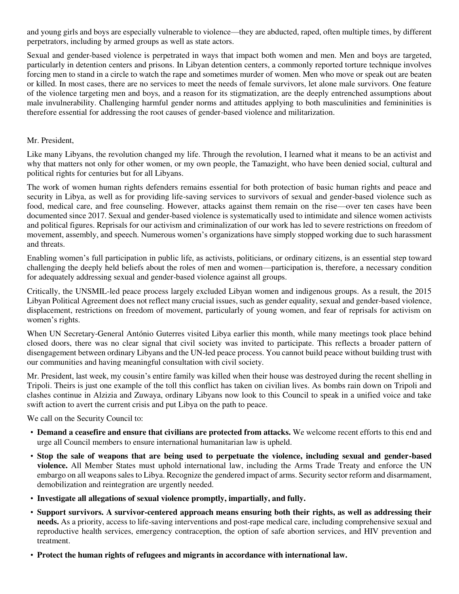and young girls and boys are especially vulnerable to violence—they are abducted, raped, often multiple times, by different perpetrators, including by armed groups as well as state actors.

Sexual and gender-based violence is perpetrated in ways that impact both women and men. Men and boys are targeted, particularly in detention centers and prisons. In Libyan detention centers, a commonly reported torture technique involves forcing men to stand in a circle to watch the rape and sometimes murder of women. Men who move or speak out are beaten or killed. In most cases, there are no services to meet the needs of female survivors, let alone male survivors. One feature of the violence targeting men and boys, and a reason for its stigmatization, are the deeply entrenched assumptions about male invulnerability. Challenging harmful gender norms and attitudes applying to both masculinities and femininities is therefore essential for addressing the root causes of gender-based violence and militarization.

## Mr. President,

Like many Libyans, the revolution changed my life. Through the revolution, I learned what it means to be an activist and why that matters not only for other women, or my own people, the Tamazight, who have been denied social, cultural and political rights for centuries but for all Libyans.

The work of women human rights defenders remains essential for both protection of basic human rights and peace and security in Libya, as well as for providing life-saving services to survivors of sexual and gender-based violence such as food, medical care, and free counseling. However, attacks against them remain on the rise—over ten cases have been documented since 2017. Sexual and gender-based violence is systematically used to intimidate and silence women activists and political figures. Reprisals for our activism and criminalization of our work has led to severe restrictions on freedom of movement, assembly, and speech. Numerous women's organizations have simply stopped working due to such harassment and threats.

Enabling women's full participation in public life, as activists, politicians, or ordinary citizens, is an essential step toward challenging the deeply held beliefs about the roles of men and women—participation is, therefore, a necessary condition for adequately addressing sexual and gender-based violence against all groups.

Critically, the UNSMIL-led peace process largely excluded Libyan women and indigenous groups. As a result, the 2015 Libyan Political Agreement does not reflect many crucial issues, such as gender equality, sexual and gender-based violence, displacement, restrictions on freedom of movement, particularly of young women, and fear of reprisals for activism on women's rights.

When UN Secretary-General António Guterres visited Libya earlier this month, while many meetings took place behind closed doors, there was no clear signal that civil society was invited to participate. This reflects a broader pattern of disengagement between ordinary Libyans and the UN-led peace process. You cannot build peace without building trust with our communities and having meaningful consultation with civil society.

Mr. President, last week, my cousin's entire family was killed when their house was destroyed during the recent shelling in Tripoli. Theirs is just one example of the toll this conflict has taken on civilian lives. As bombs rain down on Tripoli and clashes continue in Alzizia and Zuwaya, ordinary Libyans now look to this Council to speak in a unified voice and take swift action to avert the current crisis and put Libya on the path to peace.

We call on the Security Council to:

- **Demand a ceasefire and ensure that civilians are protected from attacks.** We welcome recent efforts to this end and urge all Council members to ensure international humanitarian law is upheld.
- **Stop the sale of weapons that are being used to perpetuate the violence, including sexual and gender-based violence.** All Member States must uphold international law, including the Arms Trade Treaty and enforce the UN embargo on all weapons sales to Libya. Recognize the gendered impact of arms. Security sector reform and disarmament, demobilization and reintegration are urgently needed.
- **Investigate all allegations of sexual violence promptly, impartially, and fully.**
- **Support survivors. A survivor-centered approach means ensuring both their rights, as well as addressing their needs.** As a priority, access to life-saving interventions and post-rape medical care, including comprehensive sexual and reproductive health services, emergency contraception, the option of safe abortion services, and HIV prevention and treatment.
- **Protect the human rights of refugees and migrants in accordance with international law.**